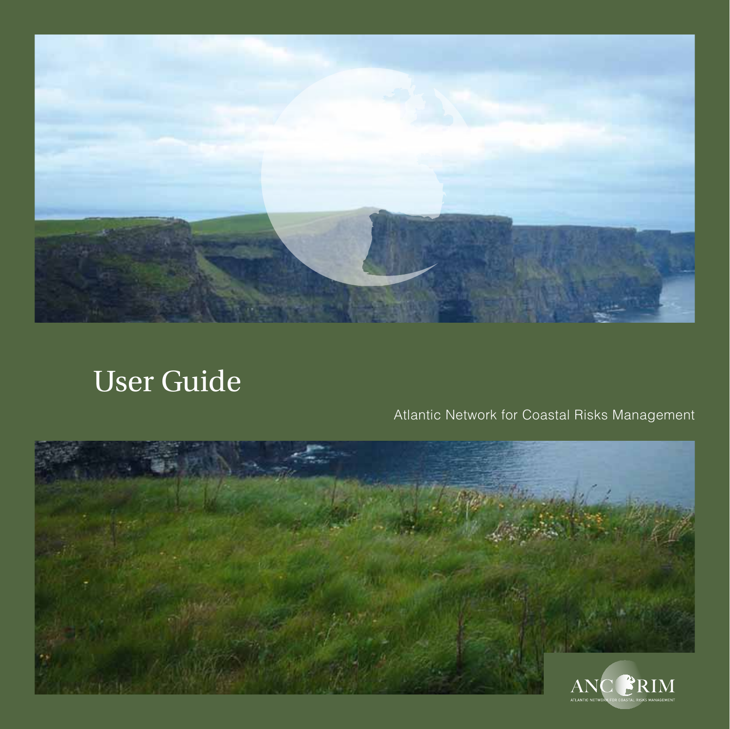

# User Guide

# Atlantic Network for Coastal Risks Management

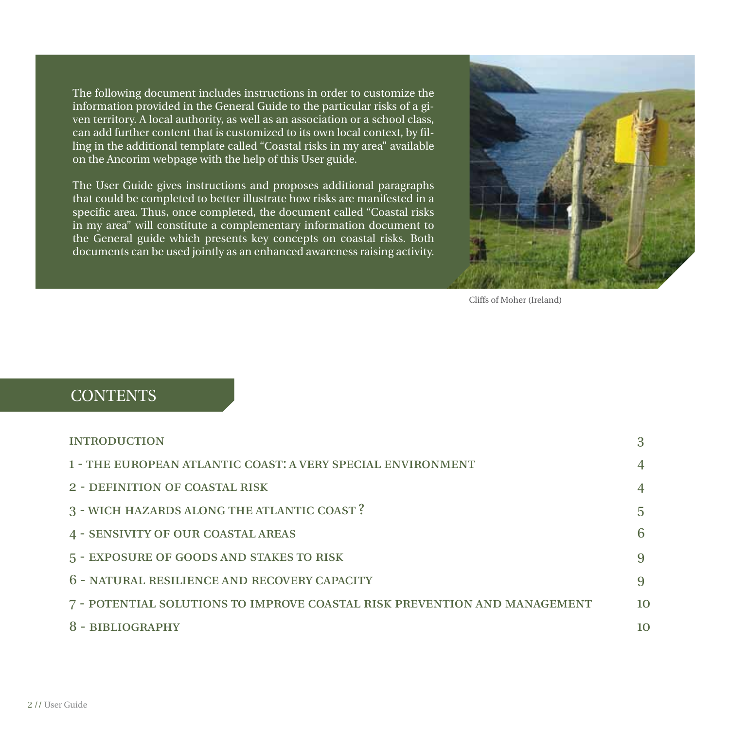The following document includes instructions in order to customize the information provided in the General Guide to the particular risks of a given territory. A local authority, as well as an association or a school class, can add further content that is customized to its own local context, by filling in the additional template called "Coastal risks in my area" available on the Ancorim webpage with the help of this User guide.

The User Guide gives instructions and proposes additional paragraphs that could be completed to better illustrate how risks are manifested in a specific area. Thus, once completed, the document called "Coastal risks in my area" will constitute a complementary information document to the General guide which presents key concepts on coastal risks. Both documents can be used jointly as an enhanced awareness raising activity.



Cliffs of Moher (Ireland)

#### **CONTENTS**

| <b>INTRODUCTION</b>                                                       |                 |
|---------------------------------------------------------------------------|-----------------|
| 1 - THE EUROPEAN ATLANTIC COAST: A VERY SPECIAL ENVIRONMENT               |                 |
| 2 - DEFINITION OF COASTAL RISK                                            |                 |
| 3 - WICH HAZARDS ALONG THE ATLANTIC COAST?                                | 5               |
| <b>4 - SENSIVITY OF OUR COASTAL AREAS</b>                                 | 6               |
| 5 - EXPOSURE OF GOODS AND STAKES TO RISK                                  | 9               |
| 6 - NATURAL RESILIENCE AND RECOVERY CAPACITY                              | 9               |
| 7 - POTENTIAL SOLUTIONS TO IMPROVE COASTAL RISK PREVENTION AND MANAGEMENT | 10 <sup>1</sup> |
| 8 - BIBLIOGRAPHY                                                          | 10              |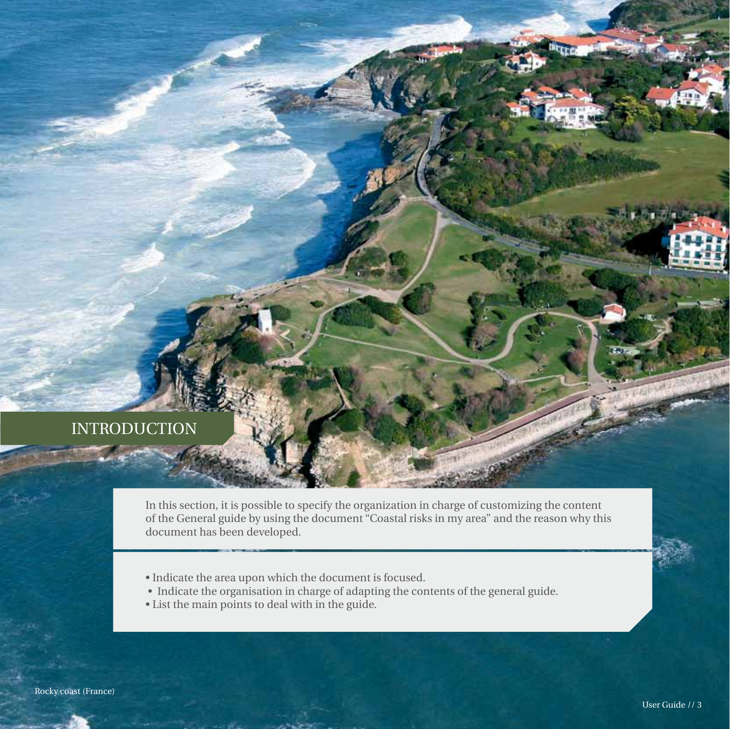#### **INTRODUCTION**

In this section, it is possible to specify the organization in charge of customizing the content of the General guide by using the document "Coastal risks in my area" and the reason why this document has been developed.

- Indicate the area upon which the document is focused.
- Indicate the organisation in charge of adapting the contents of the general guide.
- List the main points to deal with in the guide.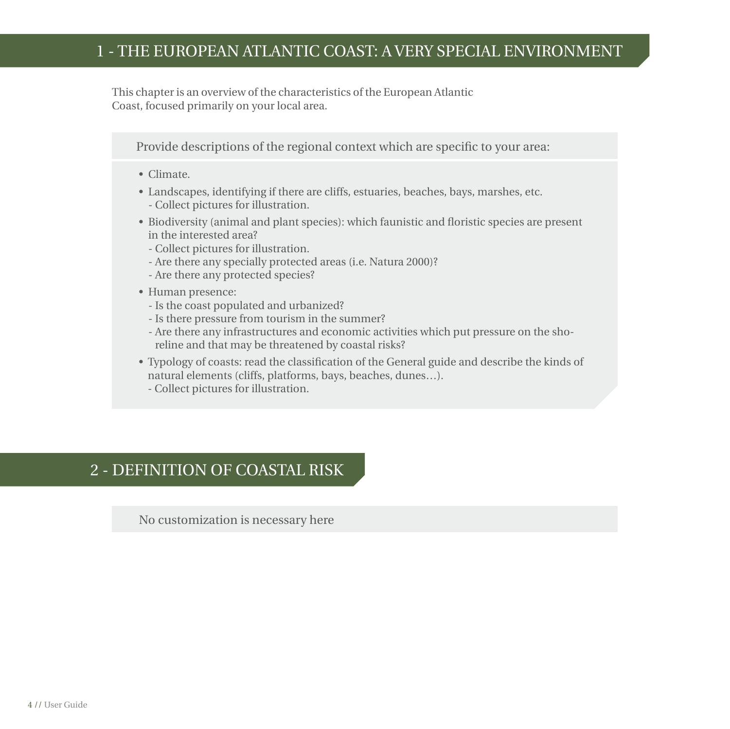#### 1 - the european atlantic coast: a very special environment

This chapter is an overview of the characteristics of the European Atlantic Coast, focused primarily on your local area.

Provide descriptions of the regional context which are specific to your area:

- Climate.
- Landscapes, identifying if there are cliffs, estuaries, beaches, bays, marshes, etc. - Collect pictures for illustration.
- Biodiversity (animal and plant species): which faunistic and floristic species are present in the interested area?
	- Collect pictures for illustration.
	- Are there any specially protected areas (i.e. Natura 2000)?
	- Are there any protected species?
- Human presence:
	- Is the coast populated and urbanized?
	- Is there pressure from tourism in the summer?
	- Are there any infrastructures and economic activities which put pressure on the shoreline and that may be threatened by coastal risks?
- Typology of coasts: read the classification of the General guide and describe the kinds of natural elements (cliffs, platforms, bays, beaches, dunes…).
	- Collect pictures for illustration.

### 2 - definition of coastal risk

No customization is necessary here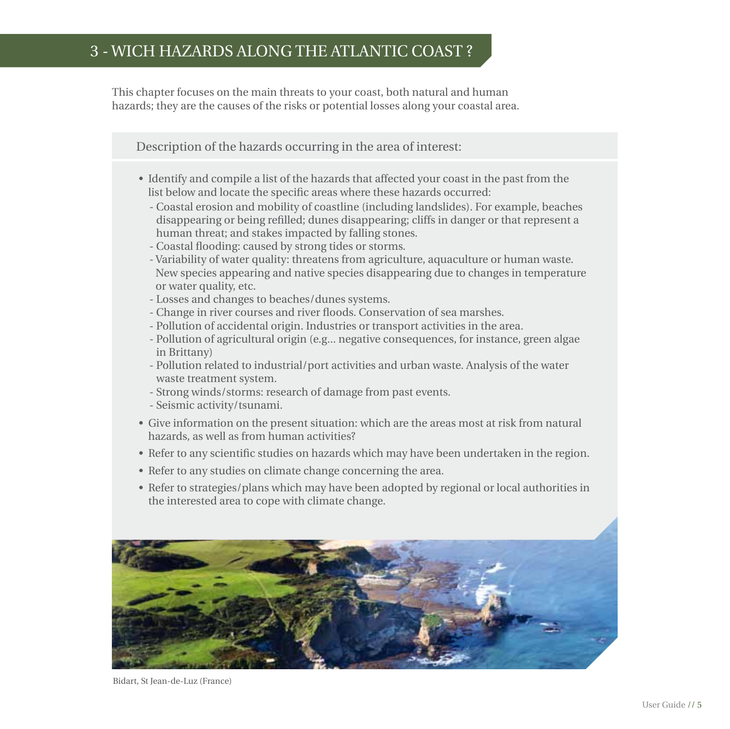### 3 - wich hazards along the atlantic coast ?

This chapter focuses on the main threats to your coast, both natural and human hazards; they are the causes of the risks or potential losses along your coastal area.

Description of the hazards occurring in the area of interest:

- Identify and compile a list of the hazards that affected your coast in the past from the list below and locate the specific areas where these hazards occurred:
	- Coastal erosion and mobility of coastline (including landslides). For example, beaches disappearing or being refilled; dunes disappearing; cliffs in danger or that represent a human threat; and stakes impacted by falling stones.
	- Coastal flooding: caused by strong tides or storms.
	- Variability of water quality: threatens from agriculture, aquaculture or human waste. New species appearing and native species disappearing due to changes in temperature or water quality, etc.
	- Losses and changes to beaches/dunes systems.
	- Change in river courses and river floods. Conservation of sea marshes.
	- Pollution of accidental origin. Industries or transport activities in the area.
	- Pollution of agricultural origin (e.g... negative consequences, for instance, green algae in Brittany)
	- Pollution related to industrial/port activities and urban waste. Analysis of the water waste treatment system.
	- Strong winds/storms: research of damage from past events.
	- Seismic activity/tsunami.
- Give information on the present situation: which are the areas most at risk from natural hazards, as well as from human activities?
- Refer to any scientific studies on hazards which may have been undertaken in the region.
- Refer to any studies on climate change concerning the area.
- Refer to strategies/plans which may have been adopted by regional or local authorities in the interested area to cope with climate change.



Bidart, St Jean-de-Luz (France)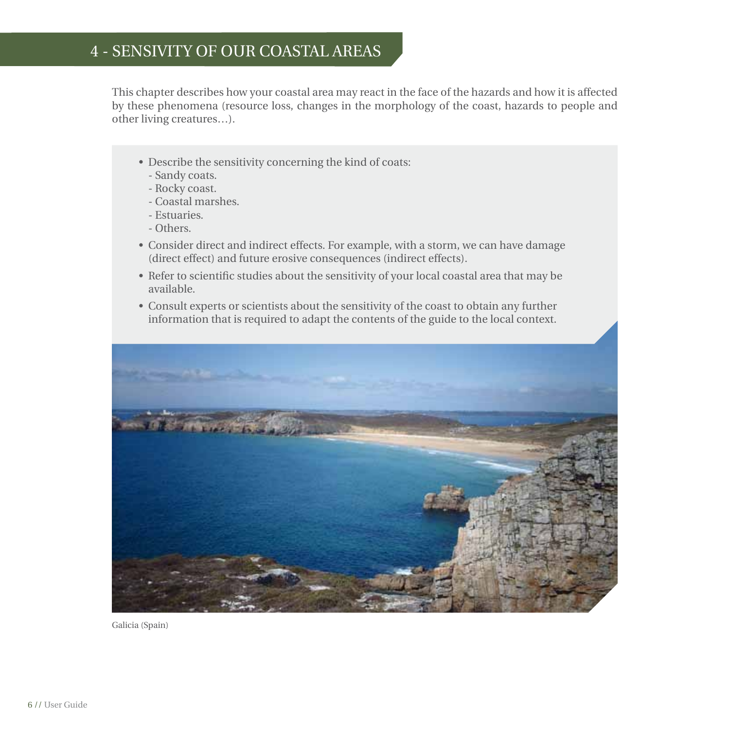### 4 - sensivity of our coastal areas

This chapter describes how your coastal area may react in the face of the hazards and how it is affected by these phenomena (resource loss, changes in the morphology of the coast, hazards to people and other living creatures…).

- Describe the sensitivity concerning the kind of coats:
	- Sandy coats.
	- Rocky coast.
	- Coastal marshes.
	- Estuaries.
	- Others.
- Consider direct and indirect effects. For example, with a storm, we can have damage (direct effect) and future erosive consequences (indirect effects).
- Refer to scientific studies about the sensitivity of your local coastal area that may be available.
- Consult experts or scientists about the sensitivity of the coast to obtain any further information that is required to adapt the contents of the guide to the local context.



Galicia (Spain)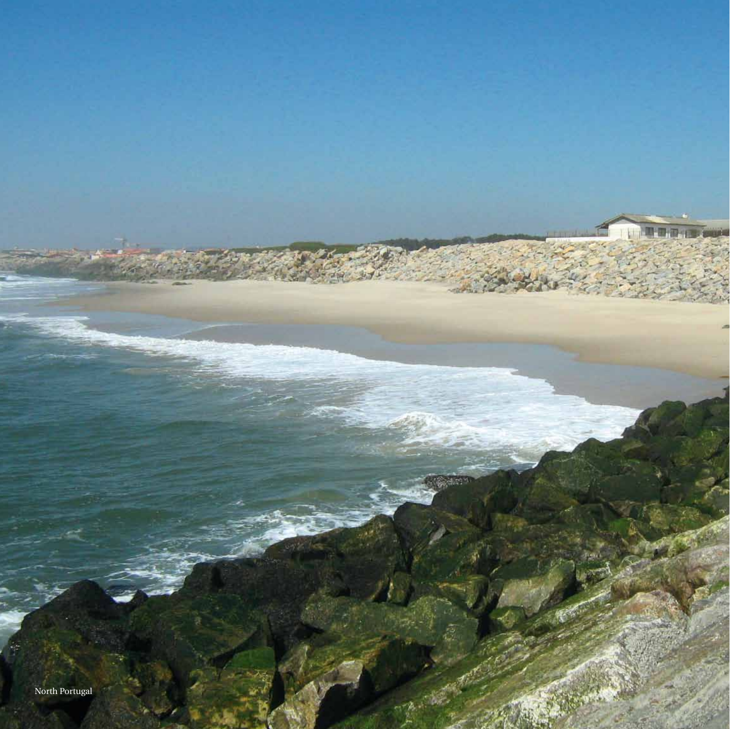North Portugal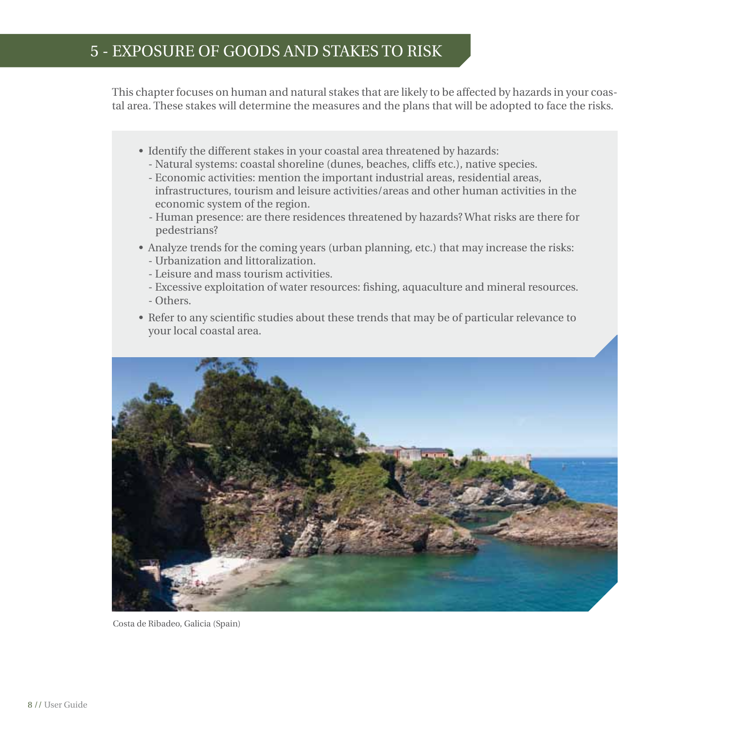#### 5 - exposure of goods and stakes to risk

This chapter focuses on human and natural stakes that are likely to be affected by hazards in your coastal area. These stakes will determine the measures and the plans that will be adopted to face the risks.

- Identify the different stakes in your coastal area threatened by hazards:
	- Natural systems: coastal shoreline (dunes, beaches, cliffs etc.), native species.
	- Economic activities: mention the important industrial areas, residential areas, infrastructures, tourism and leisure activities/areas and other human activities in the economic system of the region.
	- Human presence: are there residences threatened by hazards? What risks are there for pedestrians?
- Analyze trends for the coming years (urban planning, etc.) that may increase the risks: - Urbanization and littoralization.
	- Leisure and mass tourism activities.
	- Excessive exploitation of water resources: fishing, aquaculture and mineral resources. - Others.
- Refer to any scientific studies about these trends that may be of particular relevance to your local coastal area.



Costa de Ribadeo, Galicia (Spain)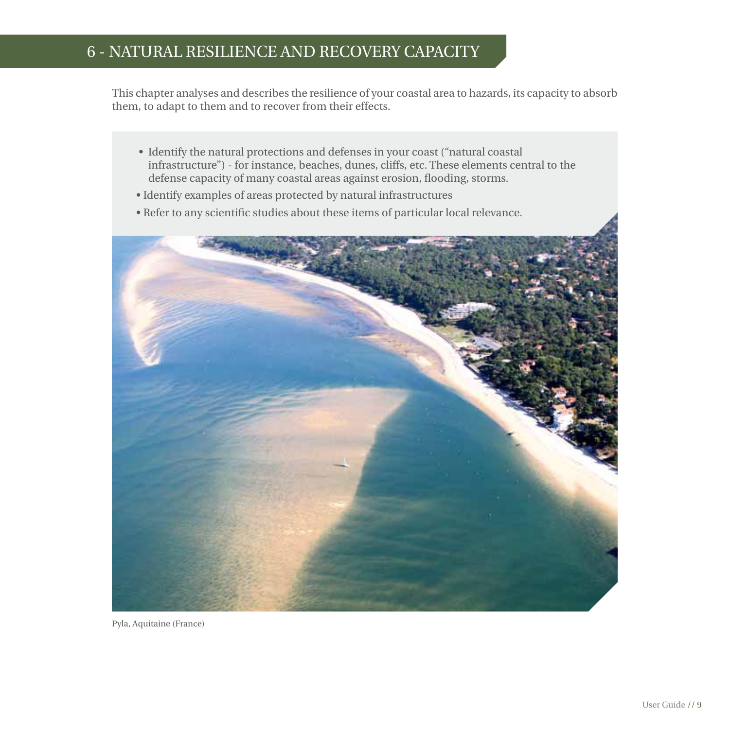### 6 - natural resilience and recovery capacity

This chapter analyses and describes the resilience of your coastal area to hazards, its capacity to absorb them, to adapt to them and to recover from their effects.

- Identify the natural protections and defenses in your coast ("natural coastal infrastructure") - for instance, beaches, dunes, cliffs, etc. These elements central to the defense capacity of many coastal areas against erosion, flooding, storms.
- Identify examples of areas protected by natural infrastructures
- Refer to any scientific studies about these items of particular local relevance.



Pyla, Aquitaine (France)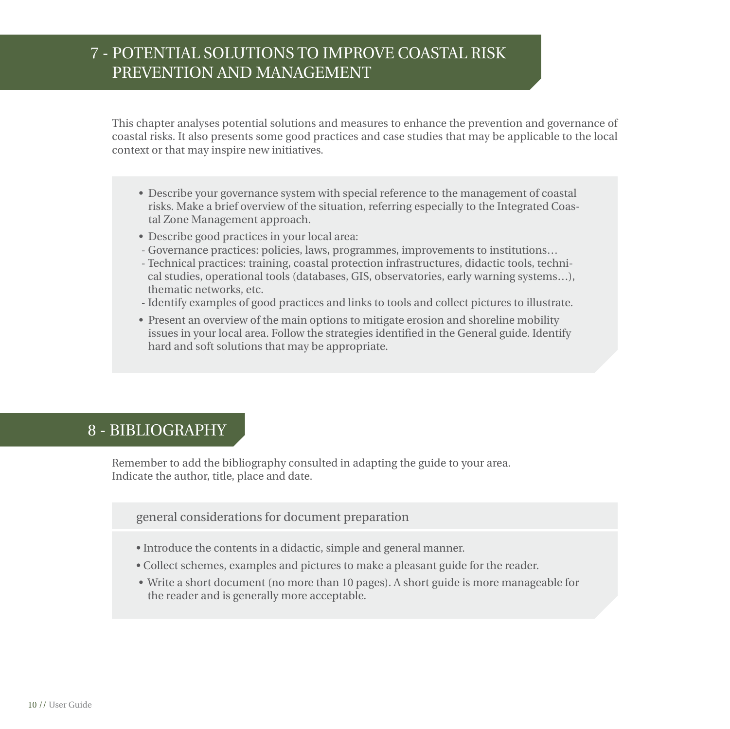# 7 - potential solutions to improve coastal risk prevention and management

This chapter analyses potential solutions and measures to enhance the prevention and governance of coastal risks. It also presents some good practices and case studies that may be applicable to the local context or that may inspire new initiatives.

- Describe your governance system with special reference to the management of coastal risks. Make a brief overview of the situation, referring especially to the Integrated Coastal Zone Management approach.
- Describe good practices in your local area:
- Governance practices: policies, laws, programmes, improvements to institutions…
- Technical practices: training, coastal protection infrastructures, didactic tools, technical studies, operational tools (databases, GIS, observatories, early warning systems…), thematic networks, etc.
- Identify examples of good practices and links to tools and collect pictures to illustrate.
- Present an overview of the main options to mitigate erosion and shoreline mobility issues in your local area. Follow the strategies identified in the General guide. Identify hard and soft solutions that may be appropriate.

#### 8 - bibliography

Remember to add the bibliography consulted in adapting the guide to your area. Indicate the author, title, place and date.

general considerations for document preparation

- Introduce the contents in a didactic, simple and general manner.
- Collect schemes, examples and pictures to make a pleasant guide for the reader.
- Write a short document (no more than 10 pages). A short guide is more manageable for the reader and is generally more acceptable.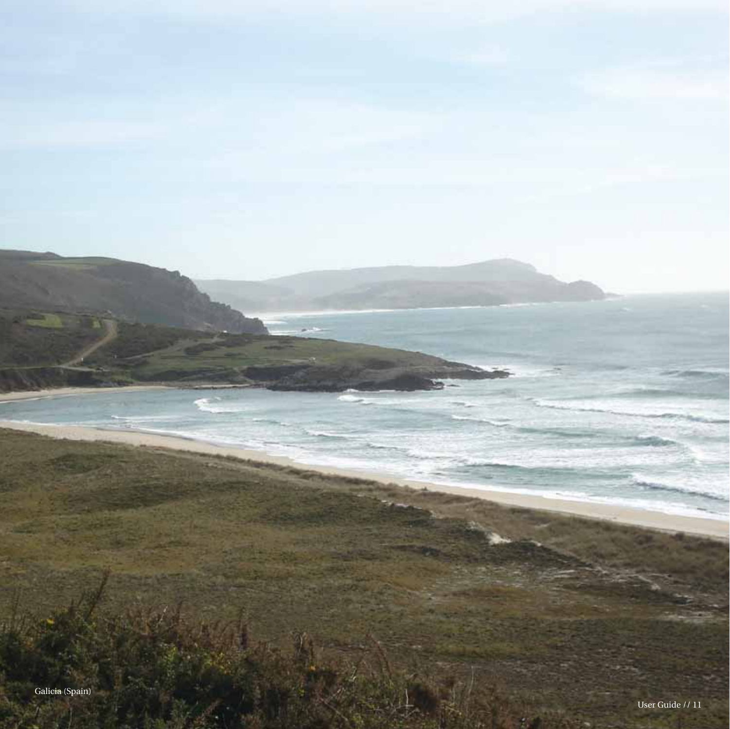